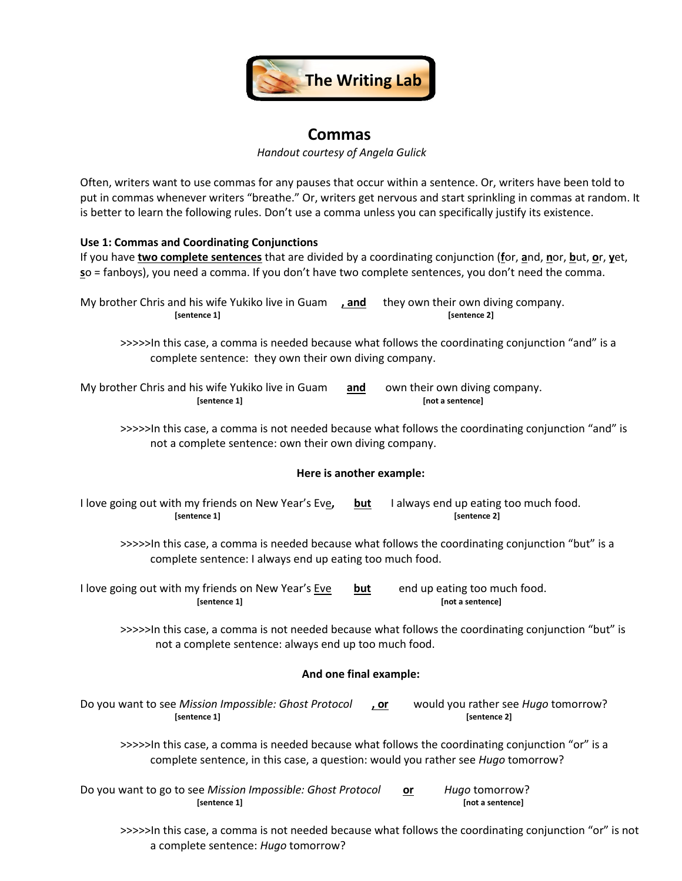

# **Commas**

*Handout courtesy of Angela Gulick* 

Often, writers want to use commas for any pauses that occur within a sentence. Or, writers have been told to put in commas whenever writers "breathe." Or, writers get nervous and start sprinkling in commas at random. It is better to learn the following rules. Don't use a comma unless you can specifically justify its existence.

## **Use 1: Commas and Coordinating Conjunctions**

| If you have two complete sentences that are divided by a coordinating conjunction (for, and, nor, but, or, yet,<br>so = fanboys), you need a comma. If you don't have two complete sentences, you don't need the comma. |  |  |  |
|-------------------------------------------------------------------------------------------------------------------------------------------------------------------------------------------------------------------------|--|--|--|
| My brother Chris and his wife Yukiko live in Guam<br>they own their own diving company.<br><u>, and</u><br>[sentence 1]<br>[sentence 2]                                                                                 |  |  |  |
| >>>>>In this case, a comma is needed because what follows the coordinating conjunction "and" is a<br>complete sentence: they own their own diving company.                                                              |  |  |  |
| My brother Chris and his wife Yukiko live in Guam<br>and<br>own their own diving company.<br>[not a sentence]<br>[sentence 1]                                                                                           |  |  |  |
| >>>>>In this case, a comma is not needed because what follows the coordinating conjunction "and" is<br>not a complete sentence: own their own diving company.                                                           |  |  |  |
| Here is another example:                                                                                                                                                                                                |  |  |  |
| I love going out with my friends on New Year's Eve,<br>I always end up eating too much food.<br>but<br>[sentence 1]<br>[sentence 2]                                                                                     |  |  |  |
| >>>>>In this case, a comma is needed because what follows the coordinating conjunction "but" is a<br>complete sentence: I always end up eating too much food.                                                           |  |  |  |
| I love going out with my friends on New Year's Eve<br>end up eating too much food.<br>but<br>[sentence 1]<br>[not a sentence]                                                                                           |  |  |  |
| >>>>>In this case, a comma is not needed because what follows the coordinating conjunction "but" is<br>not a complete sentence: always end up too much food.                                                            |  |  |  |
| And one final example:                                                                                                                                                                                                  |  |  |  |
| Do you want to see Mission Impossible: Ghost Protocol<br>would you rather see Hugo tomorrow?<br><u>, or</u><br>[sentence 1]<br>[sentence 2]                                                                             |  |  |  |
| >>>>>In this case, a comma is needed because what follows the coordinating conjunction "or" is a<br>complete sentence, in this case, a question: would you rather see Hugo tomorrow?                                    |  |  |  |
| Do you want to go to see Mission Impossible: Ghost Protocol<br>Hugo tomorrow?<br>$or$<br>[not a sentence]<br>[sentence 1]                                                                                               |  |  |  |
| >>>>>In this case, a comma is not needed because what follows the coordinating conjunction "or" is not                                                                                                                  |  |  |  |

a complete sentence: *Hugo* tomorrow?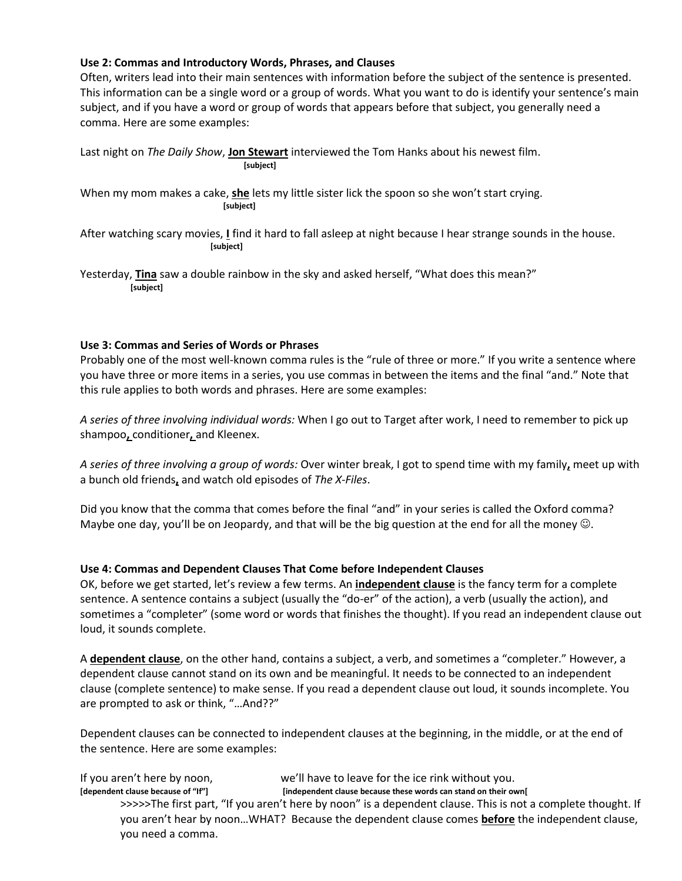## **Use 2: Commas and Introductory Words, Phrases, and Clauses**

Often, writers lead into their main sentences with information before the subject of the sentence is presented. This information can be a single word or a group of words. What you want to do is identify your sentence's main subject, and if you have a word or group of words that appears before that subject, you generally need a comma. Here are some examples:

Last night on *The Daily Show*, **Jon Stewart** interviewed the Tom Hanks about his newest film. **[subject]**  When my mom makes a cake, **she** lets my little sister lick the spoon so she won't start crying.  **[subject]** After watching scary movies, **I** find it hard to fall asleep at night because I hear strange sounds in the house.  **[subject]**  Yesterday, **Tina** saw a double rainbow in the sky and asked herself, "What does this mean?"

 **[subject]** 

## **Use 3: Commas and Series of Words or Phrases**

Probably one of the most well-known comma rules is the "rule of three or more." If you write a sentence where you have three or more items in a series, you use commas in between the items and the final "and." Note that this rule applies to both words and phrases. Here are some examples:

*A series of three involving individual words:* When I go out to Target after work, I need to remember to pick up shampoo**,** conditioner**,** and Kleenex.

*A series of three involving a group of words:* Over winter break, I got to spend time with my family**,** meet up with a bunch old friends**,** and watch old episodes of *The X-Files*.

Did you know that the comma that comes before the final "and" in your series is called the Oxford comma? Maybe one day, you'll be on Jeopardy, and that will be the big question at the end for all the money  $\odot$ .

## **Use 4: Commas and Dependent Clauses That Come before Independent Clauses**

OK, before we get started, let's review a few terms. An **independent clause** is the fancy term for a complete sentence. A sentence contains a subject (usually the "do-er" of the action), a verb (usually the action), and sometimes a "completer" (some word or words that finishes the thought). If you read an independent clause out loud, it sounds complete.

A **dependent clause**, on the other hand, contains a subject, a verb, and sometimes a "completer." However, a dependent clause cannot stand on its own and be meaningful. It needs to be connected to an independent clause (complete sentence) to make sense. If you read a dependent clause out loud, it sounds incomplete. You are prompted to ask or think, "…And??"

Dependent clauses can be connected to independent clauses at the beginning, in the middle, or at the end of the sentence. Here are some examples:

If you aren't here by noon, we'll have to leave for the ice rink without you.<br>[dependent clause because of "If"] [independent clause because these words can stand on their ov [independent clause because these words can stand on their own[ >>>>>The first part, "If you aren't here by noon" is a dependent clause. This is not a complete thought. If you aren't hear by noon…WHAT? Because the dependent clause comes **before** the independent clause, you need a comma.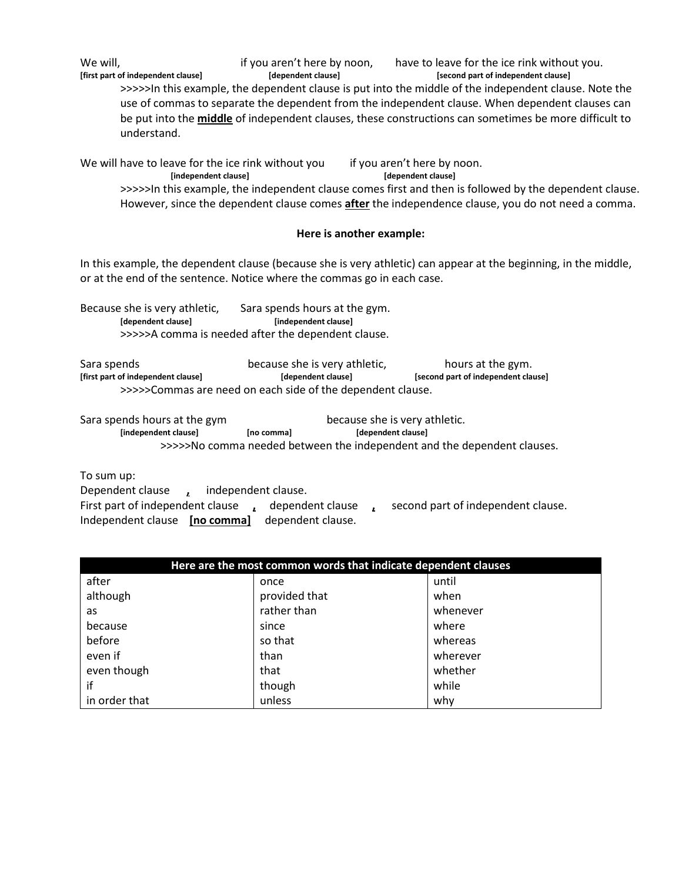We will, in the same if you aren't here by noon, have to leave for the ice rink without you. **[first part of independent clause] [dependent clause] [second part of independent clause]** >>>>>In this example, the dependent clause is put into the middle of the independent clause. Note the use of commas to separate the dependent from the independent clause. When dependent clauses can be put into the **middle** of independent clauses, these constructions can sometimes be more difficult to understand.

We will have to leave for the ice rink without you if you aren't here by noon.  **[independent clause] [dependent clause]** >>>>>In this example, the independent clause comes first and then is followed by the dependent clause. However, since the dependent clause comes **after** the independence clause, you do not need a comma.

#### **Here is another example:**

In this example, the dependent clause (because she is very athletic) can appear at the beginning, in the middle, or at the end of the sentence. Notice where the commas go in each case.

Because she is very athletic, Sara spends hours at the gym.  **[dependent clause] [independent clause]**  >>>>>A comma is needed after the dependent clause.

Sara spends because she is very athletic, hours at the gym. **[first part of independent clause] [dependent clause] [second part of independent clause]**  >>>>>Commas are need on each side of the dependent clause.

Sara spends hours at the gym because she is very athletic. **[independent clause] [no comma] [dependent clause]**  >>>>>No comma needed between the independent and the dependent clauses.

To sum up:

Dependent clause **,** independent clause. First part of independent clause **,** dependent clause **,** second part of independent clause. Independent clause **[no comma]** dependent clause.

| Here are the most common words that indicate dependent clauses |               |          |
|----------------------------------------------------------------|---------------|----------|
| after                                                          | once          | until    |
| although                                                       | provided that | when     |
| as                                                             | rather than   | whenever |
| because                                                        | since         | where    |
| before                                                         | so that       | whereas  |
| even if                                                        | than          | wherever |
| even though                                                    | that          | whether  |
| if                                                             | though        | while    |
| in order that                                                  | unless        | why      |